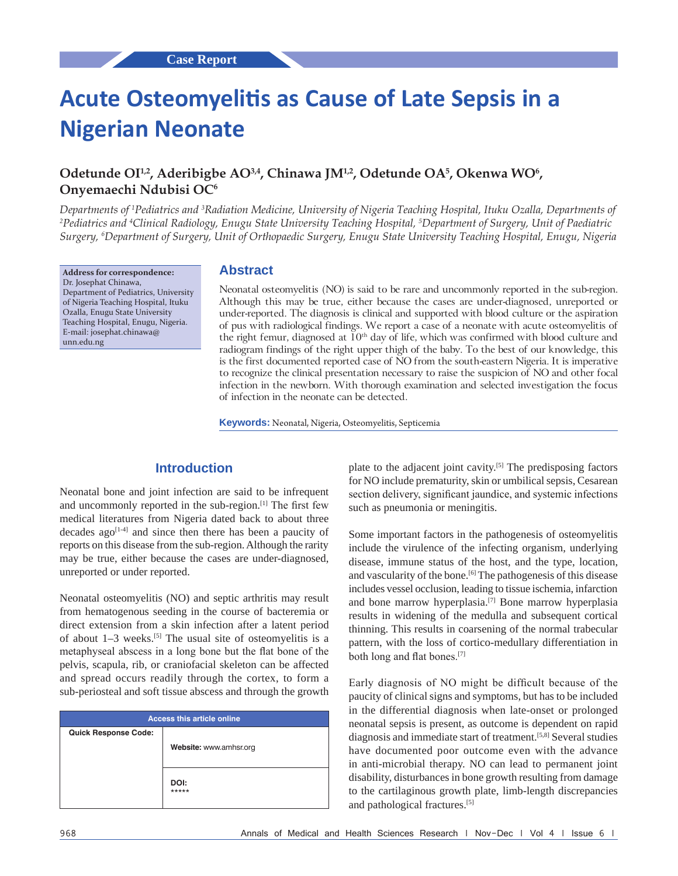# **Acute Osteomyelitis as Cause of Late Sepsis in a Nigerian Neonate**

# **Odetunde OI1,2, Aderibigbe AO3,4, Chinawa JM1,2, Odetunde OA<sup>5</sup> , Okenwa WO<sup>6</sup> , Onyemaechi Ndubisi OC<sup>6</sup>**

*Departments of 1 Pediatrics and 3 Radiation Medicine, University of Nigeria Teaching Hospital, Ituku Ozalla, Departments of 2 Pediatrics and 4 Clinical Radiology, Enugu State University Teaching Hospital, 5 Department of Surgery, Unit of Paediatric Surgery, 6 Department of Surgery, Unit of Orthopaedic Surgery, Enugu State University Teaching Hospital, Enugu, Nigeria*

**Address for correspondence:** Dr. Josephat Chinawa, Department of Pediatrics, University of Nigeria Teaching Hospital, Ituku Ozalla, Enugu State University Teaching Hospital, Enugu, Nigeria. E-mail: josephat.chinawa@ unn.edu.ng

### **Abstract**

Neonatal osteomyelitis (NO) is said to be rare and uncommonly reported in the sub-region. Although this may be true, either because the cases are under-diagnosed, unreported or under‑reported. The diagnosis is clinical and supported with blood culture or the aspiration of pus with radiological findings. We report a case of a neonate with acute osteomyelitis of the right femur, diagnosed at  $10<sup>th</sup>$  day of life, which was confirmed with blood culture and radiogram findings of the right upper thigh of the baby. To the best of our knowledge, this is the first documented reported case of NO from the south-eastern Nigeria. It is imperative to recognize the clinical presentation necessary to raise the suspicion of NO and other focal infection in the newborn. With thorough examination and selected investigation the focus of infection in the neonate can be detected.

**Keywords:** Neonatal, Nigeria, Osteomyelitis, Septicemia

# **Introduction**

Neonatal bone and joint infection are said to be infrequent and uncommonly reported in the sub-region.<sup>[1]</sup> The first few medical literatures from Nigeria dated back to about three decades ago<sup>[1-4]</sup> and since then there has been a paucity of reports on this disease from the sub-region. Although the rarity may be true, either because the cases are under-diagnosed, unreported or under reported.

Neonatal osteomyelitis (NO) and septic arthritis may result from hematogenous seeding in the course of bacteremia or direct extension from a skin infection after a latent period of about 1–3 weeks.[5] The usual site of osteomyelitis is a metaphyseal abscess in a long bone but the flat bone of the pelvis, scapula, rib, or craniofacial skeleton can be affected and spread occurs readily through the cortex, to form a sub-periosteal and soft tissue abscess and through the growth

| <b>Access this article online</b> |                        |
|-----------------------------------|------------------------|
| <b>Quick Response Code:</b>       |                        |
|                                   | Website: www.amhsr.org |
|                                   |                        |
|                                   |                        |
|                                   | DOI:<br>*****          |
|                                   |                        |

plate to the adjacent joint cavity.[5] The predisposing factors for NO include prematurity, skin or umbilical sepsis, Cesarean section delivery, significant jaundice, and systemic infections such as pneumonia or meningitis.

Some important factors in the pathogenesis of osteomyelitis include the virulence of the infecting organism, underlying disease, immune status of the host, and the type, location, and vascularity of the bone.<sup>[6]</sup> The pathogenesis of this disease includes vessel occlusion, leading to tissue ischemia, infarction and bone marrow hyperplasia.[7] Bone marrow hyperplasia results in widening of the medulla and subsequent cortical thinning. This results in coarsening of the normal trabecular pattern, with the loss of cortico-medullary differentiation in both long and flat bones.[7]

Early diagnosis of NO might be difficult because of the paucity of clinical signs and symptoms, but has to be included in the differential diagnosis when late-onset or prolonged neonatal sepsis is present, as outcome is dependent on rapid diagnosis and immediate start of treatment.[5,8] Several studies have documented poor outcome even with the advance in anti-microbial therapy. NO can lead to permanent joint disability, disturbances in bone growth resulting from damage to the cartilaginous growth plate, limb-length discrepancies and pathological fractures.[5]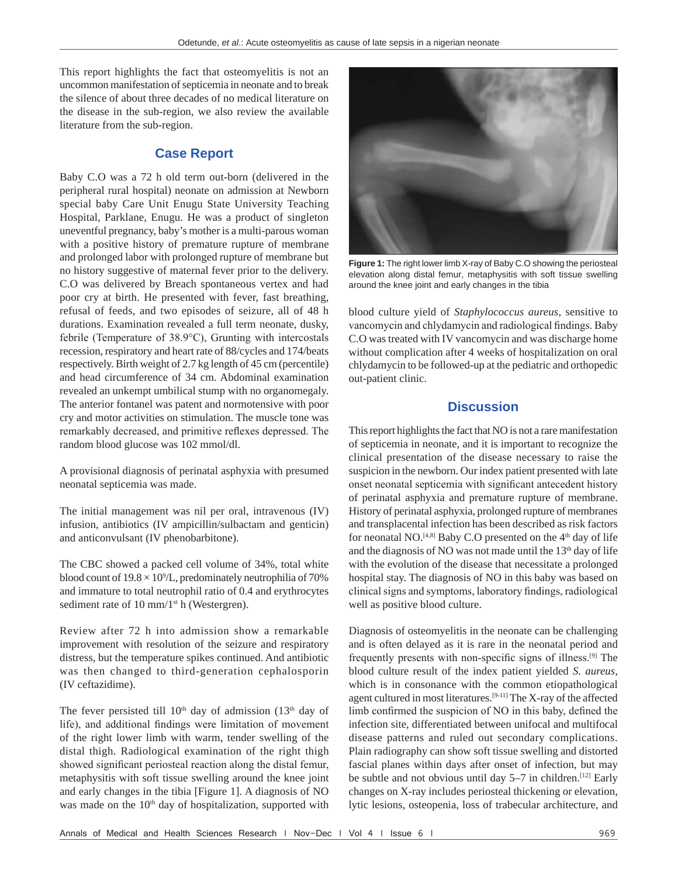This report highlights the fact that osteomyelitis is not an uncommon manifestation of septicemia in neonate and to break the silence of about three decades of no medical literature on the disease in the sub-region, we also review the available literature from the sub-region.

## **Case Report**

Baby C.O was a 72 h old term out-born (delivered in the peripheral rural hospital) neonate on admission at Newborn special baby Care Unit Enugu State University Teaching Hospital, Parklane, Enugu. He was a product of singleton uneventful pregnancy, baby's mother is a multi-parous woman with a positive history of premature rupture of membrane and prolonged labor with prolonged rupture of membrane but no history suggestive of maternal fever prior to the delivery. C.O was delivered by Breach spontaneous vertex and had poor cry at birth. He presented with fever, fast breathing, refusal of feeds, and two episodes of seizure, all of 48 h durations. Examination revealed a full term neonate, dusky, febrile (Temperature of 38.9°C), Grunting with intercostals recession, respiratory and heart rate of 88/cycles and 174/beats respectively. Birth weight of 2.7 kg length of 45 cm (percentile) and head circumference of 34 cm. Abdominal examination revealed an unkempt umbilical stump with no organomegaly. The anterior fontanel was patent and normotensive with poor cry and motor activities on stimulation. The muscle tone was remarkably decreased, and primitive reflexes depressed. The random blood glucose was 102 mmol/dl.

A provisional diagnosis of perinatal asphyxia with presumed neonatal septicemia was made.

The initial management was nil per oral, intravenous (IV) infusion, antibiotics (IV ampicillin/sulbactam and genticin) and anticonvulsant (IV phenobarbitone).

The CBC showed a packed cell volume of 34%, total white blood count of  $19.8 \times 10^9$ /L, predominately neutrophilia of 70% and immature to total neutrophil ratio of 0.4 and erythrocytes sediment rate of 10 mm/1<sup>st</sup> h (Westergren).

Review after 72 h into admission show a remarkable improvement with resolution of the seizure and respiratory distress, but the temperature spikes continued. And antibiotic was then changed to third-generation cephalosporin (IV ceftazidime).

The fever persisted till  $10<sup>th</sup>$  day of admission ( $13<sup>th</sup>$  day of life), and additional findings were limitation of movement of the right lower limb with warm, tender swelling of the distal thigh. Radiological examination of the right thigh showed significant periosteal reaction along the distal femur, metaphysitis with soft tissue swelling around the knee joint and early changes in the tibia [Figure 1]. A diagnosis of NO was made on the 10<sup>th</sup> day of hospitalization, supported with



**Figure 1:** The right lower limb X‑ray of Baby C.O showing the periosteal elevation along distal femur, metaphysitis with soft tissue swelling around the knee joint and early changes in the tibia

blood culture yield of *Staphylococcus aureus*, sensitive to vancomycin and chlydamycin and radiological findings. Baby C.O was treated with IV vancomycin and was discharge home without complication after 4 weeks of hospitalization on oral chlydamycin to be followed-up at the pediatric and orthopedic out-patient clinic.

## **Discussion**

This report highlights the fact that NO is not a rare manifestation of septicemia in neonate, and it is important to recognize the clinical presentation of the disease necessary to raise the suspicion in the newborn. Our index patient presented with late onset neonatal septicemia with significant antecedent history of perinatal asphyxia and premature rupture of membrane. History of perinatal asphyxia, prolonged rupture of membranes and transplacental infection has been described as risk factors for neonatal NO.<sup>[4,8]</sup> Baby C.O presented on the  $4<sup>th</sup>$  day of life and the diagnosis of NO was not made until the 13<sup>th</sup> day of life with the evolution of the disease that necessitate a prolonged hospital stay. The diagnosis of NO in this baby was based on clinical signs and symptoms, laboratory findings, radiological well as positive blood culture.

Diagnosis of osteomyelitis in the neonate can be challenging and is often delayed as it is rare in the neonatal period and frequently presents with non‑specific signs of illness.[9] The blood culture result of the index patient yielded *S. aureus,* which is in consonance with the common etiopathological agent cultured in most literatures.[9-11] The X-ray of the affected limb confirmed the suspicion of NO in this baby, defined the infection site, differentiated between unifocal and multifocal disease patterns and ruled out secondary complications. Plain radiography can show soft tissue swelling and distorted fascial planes within days after onset of infection, but may be subtle and not obvious until day 5–7 in children.<sup>[12]</sup> Early changes on X-ray includes periosteal thickening or elevation, lytic lesions, osteopenia, loss of trabecular architecture, and